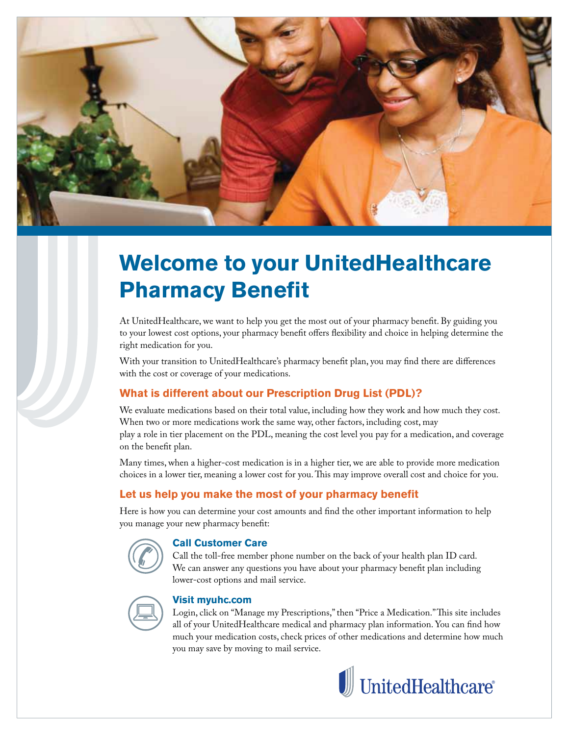

## **Welcome to your UnitedHealthcare Pharmacy Benefit**

At UnitedHealthcare, we want to help you get the most out of your pharmacy benefit. By guiding you to your lowest cost options, your pharmacy benefit offers flexibility and choice in helping determine the right medication for you.

With your transition to UnitedHealthcare's pharmacy benefit plan, you may find there are differences with the cost or coverage of your medications.

#### **What is different about our Prescription Drug List (PDL)?**

We evaluate medications based on their total value, including how they work and how much they cost. When two or more medications work the same way, other factors, including cost, may play a role in tier placement on the PDL, meaning the cost level you pay for a medication, and coverage on the benefit plan.

Many times, when a higher-cost medication is in a higher tier, we are able to provide more medication choices in a lower tier, meaning a lower cost for you. This may improve overall cost and choice for you.

#### **Let us help you make the most of your pharmacy benefit**

Here is how you can determine your cost amounts and find the other important information to help you manage your new pharmacy benefit:

#### **Call Customer Care**

Call the toll-free member phone number on the back of your health plan ID card. We can answer any questions you have about your pharmacy benefit plan including lower-cost options and mail service.



#### **Visit myuhc.com**

Login, click on "Manage my Prescriptions," then "Price a Medication." This site includes all of your UnitedHealthcare medical and pharmacy plan information. You can find how much your medication costs, check prices of other medications and determine how much you may save by moving to mail service.